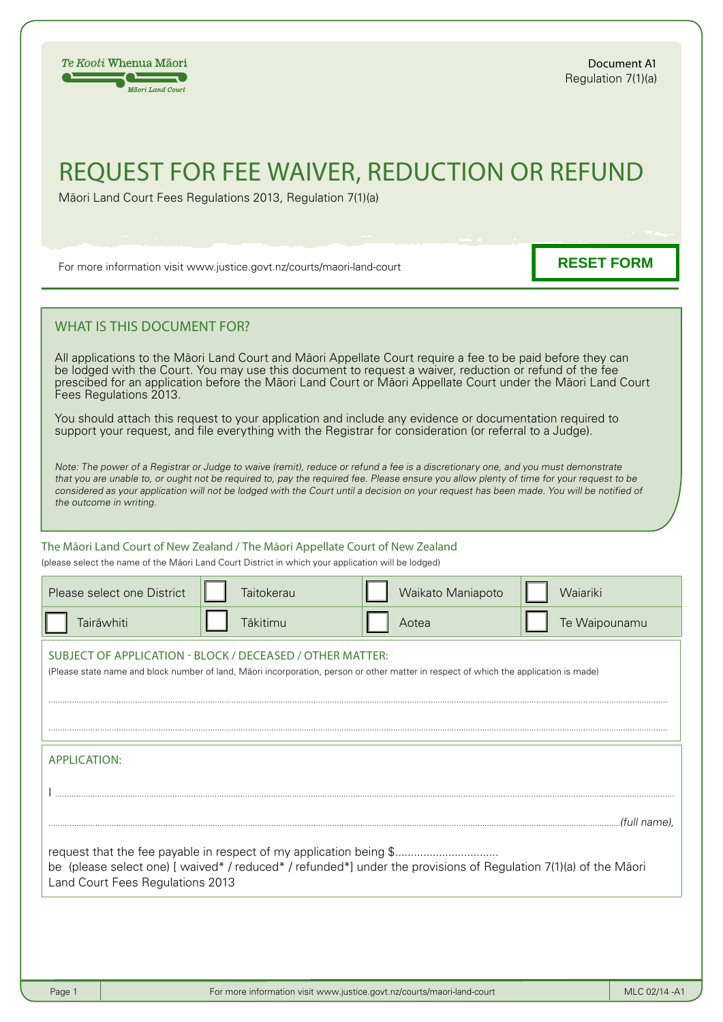## request for fee waiver, reduction OR REFUND

Mäori Land Court Fees Regulations 2013, Regulation 7(1)(a)

For more information visit www.justice.govt.nz/courts/maori-land-court

**RESET FORM**

## WHAT IS THIS DOCUMENT FOR?

All applications to the Mäori Land Court and Mäori Appellate Court require a fee to be paid before they can be lodged with the Court. You may use this document to request a waiver, reduction or refund of the fee prescibed for an application before the Mäori Land Court or Mäori Appellate Court under the Mäori Land Court Fees Regulations 2013.

You should attach this request to your application and include any evidence or documentation required to support your request, and file everything with the Registrar for consideration (or referral to a Judge).

Note: The power of a Registrar or Judge to waive (remit), reduce or refund a fee is a discretionary one, and you must demonstrate that you are unable to, or ought not be required to, pay the required fee. Please ensure you allow plenty of time for your request to be considered as your application will not be lodged with the Court until a decision on your request has been made. You will be notified of the outcome in writing.

## The Māori Land Court of New Zealand / The Māori Appellate Court of New Zealand

(please select the name of the Mäori Land Court District in which your application will be lodged)

| Please select one District                                                                                                                                                                                            | Taitokerau | Waikato Maniapoto | Waiariki      |  |  |  |  |  |
|-----------------------------------------------------------------------------------------------------------------------------------------------------------------------------------------------------------------------|------------|-------------------|---------------|--|--|--|--|--|
| Tairāwhiti                                                                                                                                                                                                            | Tākitimu   | Aotea             | Te Waipounamu |  |  |  |  |  |
| SUBJECT OF APPLICATION - BLOCK / DECEASED / OTHER MATTER:<br>(Please state name and block number of land, Māori incorporation, person or other matter in respect of which the application is made)                    |            |                   |               |  |  |  |  |  |
| <b>APPLICATION:</b>                                                                                                                                                                                                   |            |                   |               |  |  |  |  |  |
|                                                                                                                                                                                                                       |            |                   | .(full name). |  |  |  |  |  |
| request that the fee payable in respect of my application being \$<br>be (please select one) [waived*/reduced*/refunded*] under the provisions of Regulation 7(1)(a) of the Māori<br>Land Court Fees Regulations 2013 |            |                   |               |  |  |  |  |  |
|                                                                                                                                                                                                                       |            |                   |               |  |  |  |  |  |